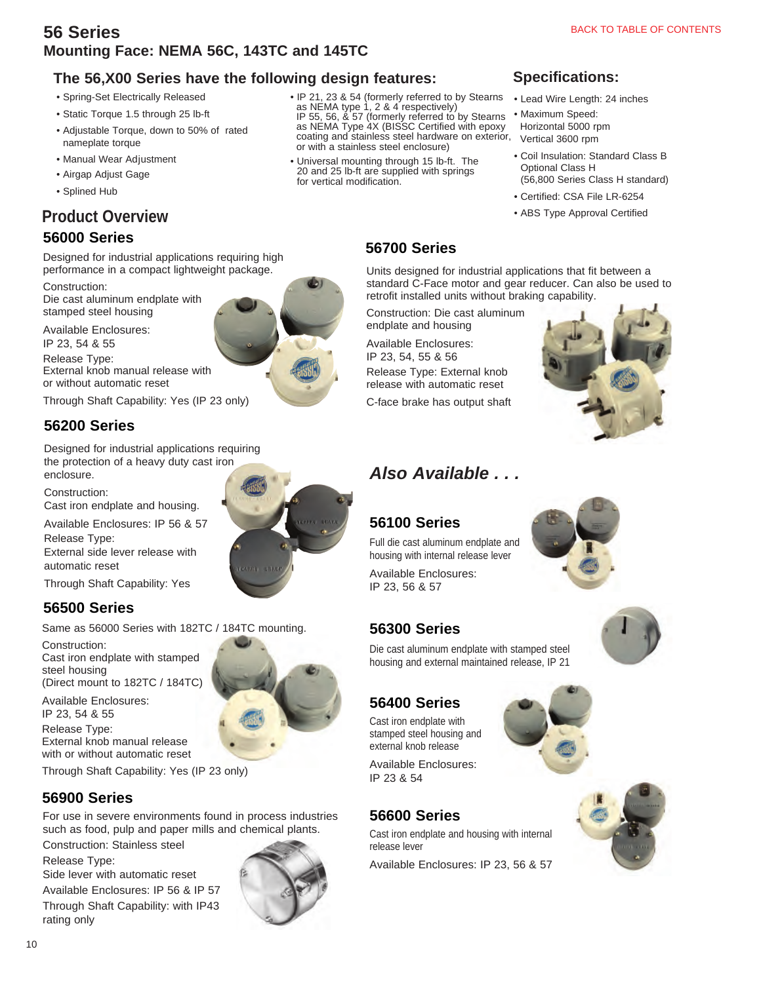## **The 56,X00 Series have the following design features:**

- Spring-Set Electrically Released
- Static Torque 1.5 through 25 lb-ft
- Adjustable Torque, down to 50% of rated nameplate torque
- Manual Wear Adjustment
- Airgap Adjust Gage
- Splined Hub

# **Product Overview**

## **56000 Series**

Designed for industrial applications requiring high performance in a compact lightweight package.

Construction: Die cast aluminum endplate with stamped steel housing

Available Enclosures: IP 23, 54 & 55 Release Type: External knob manual release with or without automatic reset

Through Shaft Capability: Yes (IP 23 only)

# **56200 Series**

Designed for industrial applications requiring the protection of a heavy duty cast iron enclosure.

Construction:

Cast iron endplate and housing. Available Enclosures: IP 56 & 57

Release Type: External side lever release with automatic reset

Through Shaft Capability: Yes

# **56500 Series**

Same as 56000 Series with 182TC / 184TC mounting.

Construction: Cast iron endplate with stamped steel housing (Direct mount to 182TC / 184TC)

Available Enclosures: IP 23, 54 & 55 Release Type: External knob manual release with or without automatic reset

Through Shaft Capability: Yes (IP 23 only)

# **56900 Series**

For use in severe environments found in process industries such as food, pulp and paper mills and chemical plants.

Construction: Stainless steel

Release Type:

Side lever with automatic reset Available Enclosures: IP 56 & IP 57 Through Shaft Capability: with IP43 rating only





• IP 21, 23 & 54 (formerly referred to by Stearns as NEMA type 1, 2 & 4 respectively) IP 55, 56, & 57 (formerly referred to by Stearns

as NEMA Type 4X (BISSC Certified with epoxy coating and stainless steel hardware on exterior, or with a stainless steel enclosure)

• Universal mounting through 15 lb-ft. The 20 and 25 lb-ft are supplied with springs for vertical modification.

## **Specifications:**

- Lead Wire Length: 24 inches
- Maximum Speed: Horizontal 5000 rpm Vertical 3600 rpm
- Coil Insulation: Standard Class B Optional Class H (56,800 Series Class H standard)
- Certified: CSA File LR-6254
- ABS Type Approval Certified

# **56700 Series**

Units designed for industrial applications that fit between a standard C-Face motor and gear reducer. Can also be used to retrofit installed units without braking capability.

Construction: Die cast aluminum endplate and housing

Available Enclosures: IP 23, 54, 55 & 56

Release Type: External knob release with automatic reset

C-face brake has output shaft



# *Also Available . . .*

# **56100 Series**

Full die cast aluminum endplate and housing with internal release lever Available Enclosures: IP 23, 56 & 57

housing and external maintained release, IP 21

# **56300 Series**

Die cast aluminum endplate with stamped steel

# **56400 Series**

Cast iron endplate with stamped steel housing and external knob release

Available Enclosures: IP 23 & 54

# **56600 Series**

Cast iron endplate and housing with internal release lever

Available Enclosures: IP 23, 56 & 57







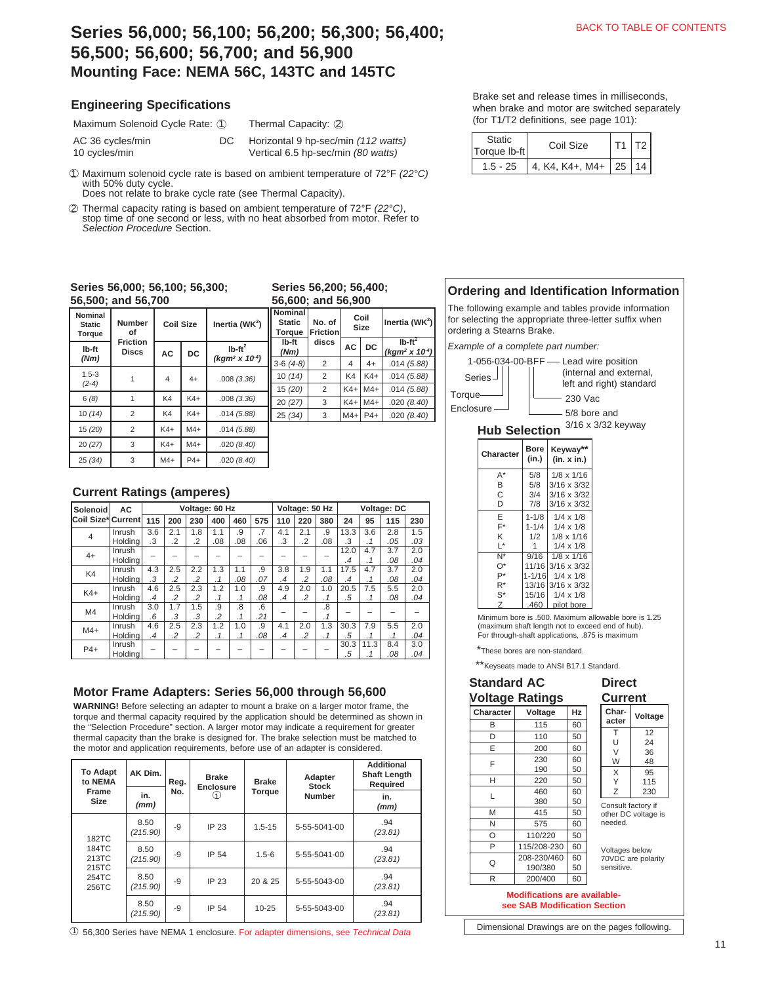# **Series 56,000; 56,100; 56,200; 56,300; 56,400; 56,500; 56,600; 56,700; and 56,900 Mounting Face: NEMA 56C, 143TC and 145TC**

#### **Engineering Specifications**

Maximum Solenoid Cycle Rate: 1

AC 36 cycles/min DC 10 cycles/min

Horizontal 9 hp-sec/min *(112 watts)* 

Thermal Capacity: 2

Vertical 6.5 hp-sec/min *(80 watts)*

1 Maximum solenoid cycle rate is based on ambient temperature of 72°F *(22°C)* with 50% duty cycle.

Does not relate to brake cycle rate (see Thermal Capacity).

2 Thermal capacity rating is based on ambient temperature of 72°F *(22°C)*, stop time of one second or less, with no heat absorbed from motor. Refer to *Selection Procedure* Section.

#### **Series 56,000; 56,100; 56,300; 56,500; and 56,700**

| Nominal<br><b>Static</b><br><b>Torque</b> | <b>Number</b><br>of             | <b>Coil Size</b> |       | Inertia (WK $2$ )                     | <b>Nom</b><br>Sta<br>Torc |  |  |  |  |
|-------------------------------------------|---------------------------------|------------------|-------|---------------------------------------|---------------------------|--|--|--|--|
| lb-ft<br>(Nm)                             | <b>Friction</b><br><b>Discs</b> | <b>AC</b>        | DC    | $Ib-ft^2$<br>$(kqm^2 \times 10^{-4})$ | Ib-<br>(Nı<br>$3-6$ $($   |  |  |  |  |
| $1.5 - 3$<br>$(2-4)$                      |                                 | 4                | $4+$  | .008(3.36)                            | 10(<br>15(                |  |  |  |  |
| 6(8)                                      |                                 | K4               | $K4+$ | .008(3.36)                            | 20(                       |  |  |  |  |
| 10(14)                                    | $\overline{2}$                  | K4               | $K4+$ | .014(5.88)                            | 25(                       |  |  |  |  |
| 15 (20)                                   | $\overline{2}$                  | $K4+$            | $M4+$ | .014(5.88)                            |                           |  |  |  |  |
| 20(27)                                    | 3                               | $K4+$            | $M4+$ | .020(8.40)                            |                           |  |  |  |  |
| 25(34)                                    | 3                               | $M4+$            | $P4+$ | .020(8.40)                            |                           |  |  |  |  |

#### **Series 56,200; 56,400; 56,600; and 56,900**

| Nominal<br><b>Static</b><br><b>Torque</b> | No. of<br><b>Friction</b> |          | Coil<br>Size | Inertia (WK <sup>2</sup> )                   |
|-------------------------------------------|---------------------------|----------|--------------|----------------------------------------------|
| lb-ft<br>(Nm)                             | discs                     | DC<br>AC |              | $Ib-ft^2$<br>(kgm <sup>2</sup> x $10^{-4}$ ) |
| $3-6(4-8)$                                | 2                         | 4        | $4+$         | .014(5.88)                                   |
| 10(14)                                    | 2                         | K4       | $K4+$        | .014(5.88)                                   |
| 15 (20)                                   | 2                         | $K4+$    | $M4+$        | .014(5.88)                                   |
| 20(27)                                    | 3                         | $K4+$    | $M4+$        | .020(8.40)                                   |
| 25(34)                                    | 3                         | $M4+$    | $P4+$        | .020(8.40)                                   |
|                                           |                           |          |              |                                              |

### **Current Ratings (amperes)**

| Solenoid           | AC      |     |                | Voltage: 60 Hz |     |           |     |     | Voltage: 50 Hz |           |           |           | Voltage: DC |     |
|--------------------|---------|-----|----------------|----------------|-----|-----------|-----|-----|----------------|-----------|-----------|-----------|-------------|-----|
| Coil Size* Current |         | 115 | 200            | 230            | 400 | 460       | 575 | 110 | 220            | 380       | 24        | 95        | 115         | 230 |
| $\overline{4}$     | Inrush  | 3.6 | 2.1            | 1.8            | 1.1 | .9        | .7  | 4.1 | 2.1            | .9        | 13.3      | 3.6       | 2.8         | 1.5 |
|                    | Holdina | .3  | .2             | .2             | .08 | .08       | .06 | .3  | $\cdot$        | .08       | .3        | $\cdot$ 1 | .05         | .03 |
| $4+$               | Inrush  |     |                |                |     |           |     |     |                |           | 12.0      | 4.7       | 3.7         | 2.0 |
|                    | Holdina |     |                |                |     |           |     |     |                |           | $\cdot$ 4 | $\cdot$ 1 | .08         | .04 |
| K4                 | Inrush  | 4.3 | 2.5            | 2.2            | 1.3 | 1.1       | .9  | 3.8 | 1.9            | 1.1       | 17.5      | 4.7       | 3.7         | 2.0 |
|                    | Holdina | .3  | $\overline{2}$ | .2             | .1  | .08       | .07 | .4  | $\cdot$        | .08       | .4        | . 1       | .08         | .04 |
| $K4+$              | Inrush  | 4.6 | 2.5            | 2.3            | 1.2 | 1.0       | .9  | 4.9 | 2.0            | 1.0       | 20.5      | 7.5       | 5.5         | 2.0 |
|                    | Holding | .4  | $\overline{2}$ | .2             | . 1 | .1        | .08 | .4  | $\cdot$ .2     | $\cdot$ 1 | .5        | .1        | .08         | .04 |
| M4                 | Inrush  | 3.0 | 1.7            | 1.5            | .9  | .8        | 6.6 |     |                | .8        |           |           |             |     |
|                    | Holding | .6  | .3             | .3             | .2  | $\cdot$ 1 | .21 |     |                | . 1       |           |           |             |     |
| $M4+$              | Inrush  | 4.6 | 2.5            | 2.3            | 1.2 | 1.0       | .9  | 4.1 | 2.0            | 1.3       | 30.3      | 7.9       | 5.5         | 2.0 |
|                    | Holdina | .4  | .2             | .2             | . 1 | . 1       | .08 | .4  | $\cdot$        | .1        | .5        | .1        | .1          | .04 |
| $P4+$              | Inrush  |     |                |                |     |           |     |     |                |           | 30.3      | 11.3      | 8.4         | 3.0 |
|                    | Holding |     |                |                |     |           |     |     |                |           | .5        |           | .08         | .04 |

### **Motor Frame Adapters: Series 56,000 through 56,600**

**WARNING!** Before selecting an adapter to mount a brake on a larger motor frame, the torque and thermal capacity required by the application should be determined as shown in the "Selection Procedure" section. A larger motor may indicate a requirement for greater thermal capacity than the brake is designed for. The brake selection must be matched to the motor and application requirements, before use of an adapter is considered.

| <b>To Adapt</b><br>to NEMA | AK Dim.          |     | <b>Brake</b><br><b>Brake</b><br>Reg.<br>Enclosure |            | Adapter<br><b>Stock</b> | <b>Additional</b><br><b>Shaft Length</b><br>Required |
|----------------------------|------------------|-----|---------------------------------------------------|------------|-------------------------|------------------------------------------------------|
| Frame<br><b>Size</b>       | in.<br>(mm)      | No. | 〔1〕                                               | Torque     | <b>Number</b>           | in.<br>(mm)                                          |
| 182TC                      | 8.50<br>(215.90) | -9  | IP 23                                             | $1.5 - 15$ | 5-55-5041-00            | .94<br>(23.81)                                       |
| 184TC<br>213TC<br>215TC    | 8.50<br>(215.90) | -9  | IP 54                                             | $1.5 - 6$  | 5-55-5041-00            | .94<br>(23.81)                                       |
| 254TC<br>256TC             | 8.50<br>(215.90) | -9  | IP 23                                             | 20 & 25    | 5-55-5043-00            | .94<br>(23.81)                                       |
|                            | 8.50<br>(215.90) | -9  | IP 54                                             | $10 - 25$  | 5-55-5043-00            | .94<br>(23.81)                                       |

56,300 Series have NEMA 1 enclosure. For adapter dimensions, see *Technical Data* 1

Brake set and release times in milliseconds, when brake and motor are switched separately (for T1/T2 definitions, see page 101):

| <b>Static</b><br>Torque Ib-ft | Coil Size                 | T1 |  |
|-------------------------------|---------------------------|----|--|
| $1.5 - 25$                    | 4, K4, K4+, M4+   25   14 |    |  |

## **Ordering and Identification Information**

The following example and tables provide information for selecting the appropriate three-letter suffix when ordering a Stearns Brake.

*Example of a complete part number:*



 Minimum bore is .500. Maximum allowable bore is 1.25 (maximum shaft length not to exceed end of hub). For through-shaft applications, .875 is maximum

\*These bores are non-standard.

\*\* Keyseats made to ANSI B17.1 Standard.

#### **Standard AC Voltage Ratings Character Voltage Hz**

| B | 115         | 60 |
|---|-------------|----|
| D | 110         | 50 |
| E | 200         | 60 |
| F | 230         | 60 |
|   | 190         | 50 |
| Н | 220         | 50 |
| L | 460         | 60 |
|   | 380         | 50 |
| M | 415         | 50 |
| N | 575         | 60 |
| O | 110/220     | 50 |
| P | 115/208-230 | 60 |
| Q | 208-230/460 | 60 |
|   | 190/380     | 50 |
| R | 200/400     | 60 |
|   |             |    |

#### **Character Voltage** T  $\Box$  $\vee$ W 12 24 36 48 X Y Z 95 115 230 **Current**

**Direct** 

Consult factory if other DC voltage is needed.

Voltages below 70VDC are polarity sensitive.

#### **Modifications are availablesee SAB Modification Section**

Dimensional Drawings are on the pages following.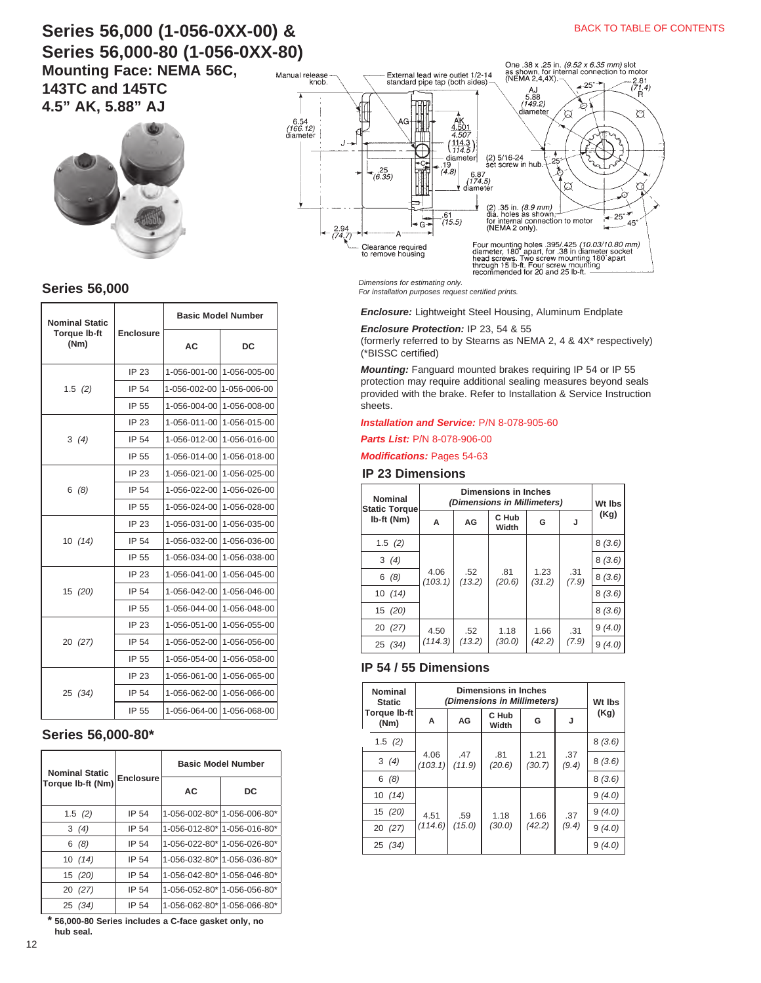# **Series 56,000 (1-056-0XX-00) & Series 56,000-80 (1-056-0XX-80) Mounting Face: NEMA 56C,**

**143TC and 145TC 4.5" AK, 5.88" AJ**



**Series 56,000**

| Nominal Static              |                  |              | <b>Basic Model Number</b> |  |
|-----------------------------|------------------|--------------|---------------------------|--|
| <b>Torque Ib-ft</b><br>(Nm) | <b>Enclosure</b> | <b>AC</b>    | DC                        |  |
|                             | IP 23            | 1-056-001-00 | 1-056-005-00              |  |
| 1.5(2)                      | IP 54            | 1-056-002-00 | 1-056-006-00              |  |
|                             | IP 55            | 1-056-004-00 | 1-056-008-00              |  |
|                             | IP 23            | 1-056-011-00 | 1-056-015-00              |  |
| 3(4)                        | IP 54            | 1-056-012-00 | 1-056-016-00              |  |
|                             | IP 55            | 1-056-014-00 | 1-056-018-00              |  |
|                             | IP 23            | 1-056-021-00 | 1-056-025-00              |  |
| 6(8)                        | IP 54            | 1-056-022-00 | 1-056-026-00              |  |
|                             | IP 55            | 1-056-024-00 | 1-056-028-00              |  |
|                             | IP 23            | 1-056-031-00 | 1-056-035-00              |  |
| 10(14)                      | IP 54            | 1-056-032-00 | 1-056-036-00              |  |
|                             | IP 55            | 1-056-034-00 | 1-056-038-00              |  |
|                             | IP 23            | 1-056-041-00 | 1-056-045-00              |  |
| 15 (20)                     | IP 54            | 1-056-042-00 | 1-056-046-00              |  |
|                             | IP 55            | 1-056-044-00 | 1-056-048-00              |  |
|                             | IP 23            | 1-056-051-00 | 1-056-055-00              |  |
| 20 (27)                     | IP 54            | 1-056-052-00 | 1-056-056-00              |  |
|                             | IP 55            | 1-056-054-00 | 1-056-058-00              |  |
|                             | IP 23            | 1-056-061-00 | 1-056-065-00              |  |
| 25 (34)                     | IP 54            | 1-056-062-00 | 1-056-066-00              |  |
|                             | IP 55            | 1-056-064-00 | 1-056-068-00              |  |

#### **Series 56,000-80\***

| <b>Nominal Static</b> |                  | <b>Basic Model Number</b>   |    |  |  |
|-----------------------|------------------|-----------------------------|----|--|--|
| Torque Ib-ft (Nm)     | <b>Enclosure</b> | AC                          | DC |  |  |
| 1.5(2)                | IP 54            | 1-056-002-80* 1-056-006-80* |    |  |  |
| 3(4)                  | IP 54            | 1-056-012-80* 1-056-016-80* |    |  |  |
| 6(8)                  | IP 54            | 1-056-022-80* 1-056-026-80* |    |  |  |
| 10(14)                | IP 54            | 1-056-032-80* 1-056-036-80* |    |  |  |
| 15(20)                | IP 54            | 1-056-042-80* 1-056-046-80* |    |  |  |
| 20 (27)               | IP 54            | 1-056-052-80* 1-056-056-80* |    |  |  |
| 25 (34)               | IP 54            | 1-056-062-80* 1-056-066-80* |    |  |  |

**\* 56,000-80 Series includes a C-face gasket only, no hub seal.**



*Dimensions for estimating only. For installation purposes request certified prints.*

*Enclosure:* Lightweight Steel Housing, Aluminum Endplate

#### *Enclosure Protection:* IP 23, 54 & 55

(formerly referred to by Stearns as NEMA 2, 4 & 4X\* respectively) (\*BISSC certified)

*Mounting:* Fanguard mounted brakes requiring IP 54 or IP 55 protection may require additional sealing measures beyond seals provided with the brake. Refer to Installation & Service Instruction sheets.

#### *[Installation and Service:](https://www.stearnsbrakes.com/resources/resource-library)* P/N 8-078-905-60

#### *Parts List:* P/N 8-078-906-00

#### *Modifications:* Pages 54-63

#### **IP 23 Dimensions**

| Nominal<br><b>Static Torque</b> | (Dimensions in Millimeters) | Wt Ibs        |                |                |              |        |        |
|---------------------------------|-----------------------------|---------------|----------------|----------------|--------------|--------|--------|
| Ib-ft (Nm)                      | А                           | AG            | C Hub<br>Width | G              | J            | (Kg)   |        |
| 1.5(2)                          |                             |               |                |                |              | 8(3.6) |        |
| 3(4)                            |                             |               |                |                |              |        | 8(3.6) |
| 6(8)                            | 4.06<br>(103.1)             | .52<br>(13.2) | .81<br>(20.6)  | 1.23<br>(31.2) | .31<br>(7.9) | 8(3.6) |        |
| 10(14)                          |                             |               |                |                |              | 8(3.6) |        |
| 15 (20)                         |                             |               |                |                |              | 8(3.6) |        |
| 20 (27)                         | 4.50<br>(114.3)             | .52           | 1.18           | 1.66           | .31          | 9(4.0) |        |
| 25 (34)                         |                             | (13.2)        | (30.0)         | (42.2)         | (7.9)        | 9(4.0) |        |

#### **IP 54 / 55 Dimensions**

| Nominal<br><b>Static</b>    | (Dimensions in Millimeters) | Wt Ibs |                |               |               |                |              |
|-----------------------------|-----------------------------|--------|----------------|---------------|---------------|----------------|--------------|
| <b>Torque Ib-ft</b><br>(Nm) | A                           | AG     | C Hub<br>Width | G             | J             | (Kg)           |              |
| 1.5 $(2)$                   | 4.06<br>(103.1)             |        |                |               |               | 8(3.6)         |              |
| 3(4)                        |                             |        |                | .47<br>(11.9) | .81<br>(20.6) | 1.21<br>(30.7) | .37<br>(9.4) |
| 6(8)                        |                             |        |                |               |               | 8(3.6)         |              |
| 10(14)                      |                             |        |                | 1.66          | .37<br>(9.4)  | 9(4.0)         |              |
| 15(20)                      | 4.51                        | .59    | 1.18           |               |               | 9(4.0)         |              |
| 20 (27)                     | (114.6)                     | (15.0) | (30.0)         | (42.2)        |               | 9(4.0)         |              |
| 25 (34)                     |                             |        |                |               |               | 9(4.0)         |              |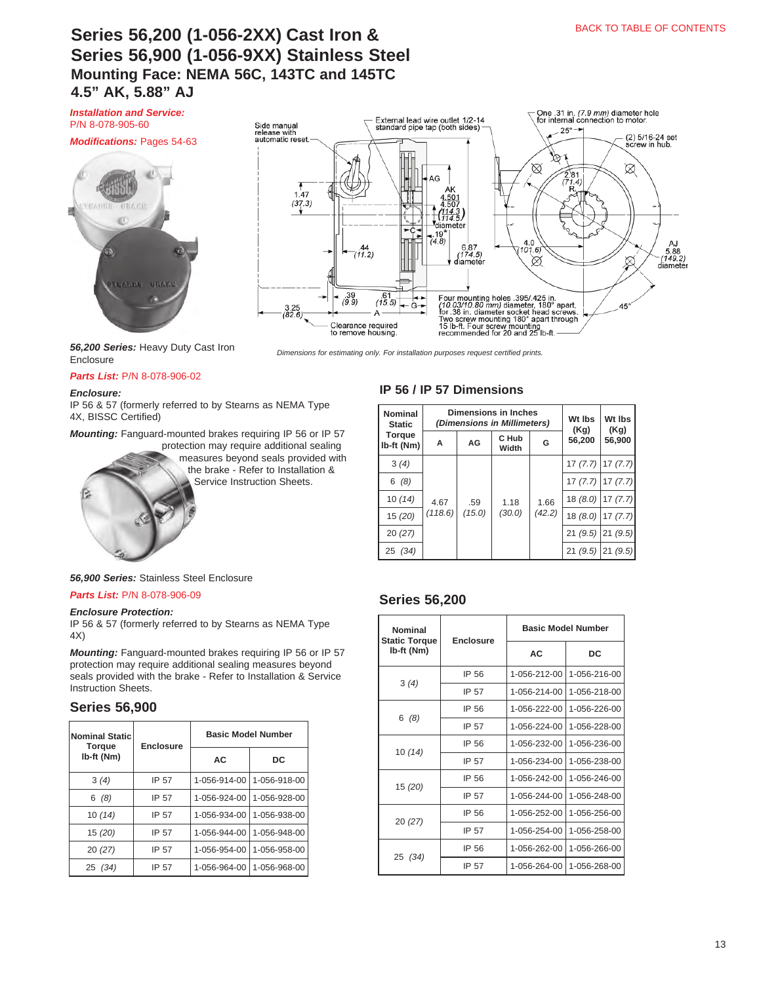# **Series 56,200 (1-056-2XX) Cast Iron & Series 56,900 (1-056-9XX) Stainless Steel Mounting Face: NEMA 56C, 143TC and 145TC 4.5" AK, 5.88" AJ**

*[Installation and Service:](https://www.stearnsbrakes.com/resources/resource-library)* P/N 8-078-905-60

#### *Modifications:* Pages 54-63





*56,200 Series:* Heavy Duty Cast Iron Enclosure

#### *Parts List:* [P/N 8-078-906-02](https://www.stearnsbrakes.com/resources/resource-library)

#### *Enclosure:*

IP 56 & 57 (formerly referred to by Stearns as NEMA Type 4X, BISSC Certified)

*Mounting:* Fanguard-mounted brakes requiring IP 56 or IP 57

protection may require additional sealing measures beyond seals provided with the brake - Refer to Installation &

Service Instruction Sheets.

#### **IP 56 / IP 57 Dimensions**

*Dimensions for estimating only. For installation purposes request certified prints.*

| Nominal<br><b>Static</b>    | <b>Dimensions in Inches</b><br>(Dimensions in Millimeters) |                                                   |                |                      | Wt Ibs<br>(Kg) | Wt Ibs<br>(Kg) |
|-----------------------------|------------------------------------------------------------|---------------------------------------------------|----------------|----------------------|----------------|----------------|
| <b>Torque</b><br>Ib-ft (Nm) | А                                                          | AG                                                | C Hub<br>Width | G                    | 56.200         | 56,900         |
| 3(4)                        |                                                            | 1.18<br>1.66<br>.59<br>(42.2)<br>(30.0)<br>(15.0) |                | $17(7.7)$ 17 $(7.7)$ |                |                |
| 6(8)                        |                                                            |                                                   |                |                      | 17(7.7)        | 17(7.7)        |
| 10(14)                      | 4.67                                                       |                                                   |                |                      | 18(8.0)        | 17(7.7)        |
| 15 (20)                     | (118.6)                                                    |                                                   |                |                      | 18(8.0)        | 17(7.7)        |
| 20(27)                      |                                                            |                                                   |                |                      | 21(9.5)        | 21(9.5)        |
| 25 (34)                     |                                                            |                                                   |                |                      | 21(9.5)        | 21(9.5)        |

#### **Series 56,200**

| Nominal<br><b>Static Torque</b> | <b>Enclosure</b> |              | <b>Basic Model Number</b> |  |  |
|---------------------------------|------------------|--------------|---------------------------|--|--|
| lb-ft (Nm)                      |                  | AC           | DC                        |  |  |
|                                 | IP 56            | 1-056-212-00 | 1-056-216-00              |  |  |
| 3(4)                            | IP 57            | 1-056-214-00 | 1-056-218-00              |  |  |
|                                 | IP 56            | 1-056-222-00 | 1-056-226-00              |  |  |
| 6(8)                            | IP 57            | 1-056-224-00 | 1-056-228-00              |  |  |
|                                 | IP 56            | 1-056-232-00 | 1-056-236-00              |  |  |
| 10(14)                          | IP 57            | 1-056-234-00 | 1-056-238-00              |  |  |
|                                 | IP 56            | 1-056-242-00 | 1-056-246-00              |  |  |
| 15 (20)                         | IP 57            | 1-056-244-00 | 1-056-248-00              |  |  |
|                                 | IP 56            | 1-056-252-00 | 1-056-256-00              |  |  |
| 20(27)                          | IP 57            | 1-056-254-00 | 1-056-258-00              |  |  |
|                                 | IP 56            | 1-056-262-00 | 1-056-266-00              |  |  |
| 25 (34)                         | IP 57            | 1-056-264-00 | 1-056-268-00              |  |  |

#### *56,900 Series:* Stainless Steel Enclosure

#### *Parts List:* [P/N 8-078-906-09](https://www.stearnsbrakes.com/resources/resource-library)

#### *Enclosure Protection:*

IP 56 & 57 (formerly referred to by Stearns as NEMA Type 4X)

*Mounting:* Fanguard-mounted brakes requiring IP 56 or IP 57 protection may require additional sealing measures beyond seals provided with the brake - Refer to Installation & Service Instruction Sheets.

#### **Series 56,900**

| <b>Nominal Static</b><br><b>Torque</b> | <b>Enclosure</b> | <b>Basic Model Number</b> |              |  |
|----------------------------------------|------------------|---------------------------|--------------|--|
| Ib-ft (Nm)                             |                  | <b>AC</b>                 | DC           |  |
| 3(4)                                   | IP 57            | 1-056-914-00              | 1-056-918-00 |  |
| 6(8)                                   | IP 57            | 1-056-924-00              | 1-056-928-00 |  |
| 10(14)                                 | IP 57            | 1-056-934-00              | 1-056-938-00 |  |
| 15(20)                                 | IP 57            | 1-056-944-00              | 1-056-948-00 |  |
| 20(27)                                 | IP 57            | 1-056-954-00              | 1-056-958-00 |  |
| 25 (34)                                | IP 57            | 1-056-964-00              | 1-056-968-00 |  |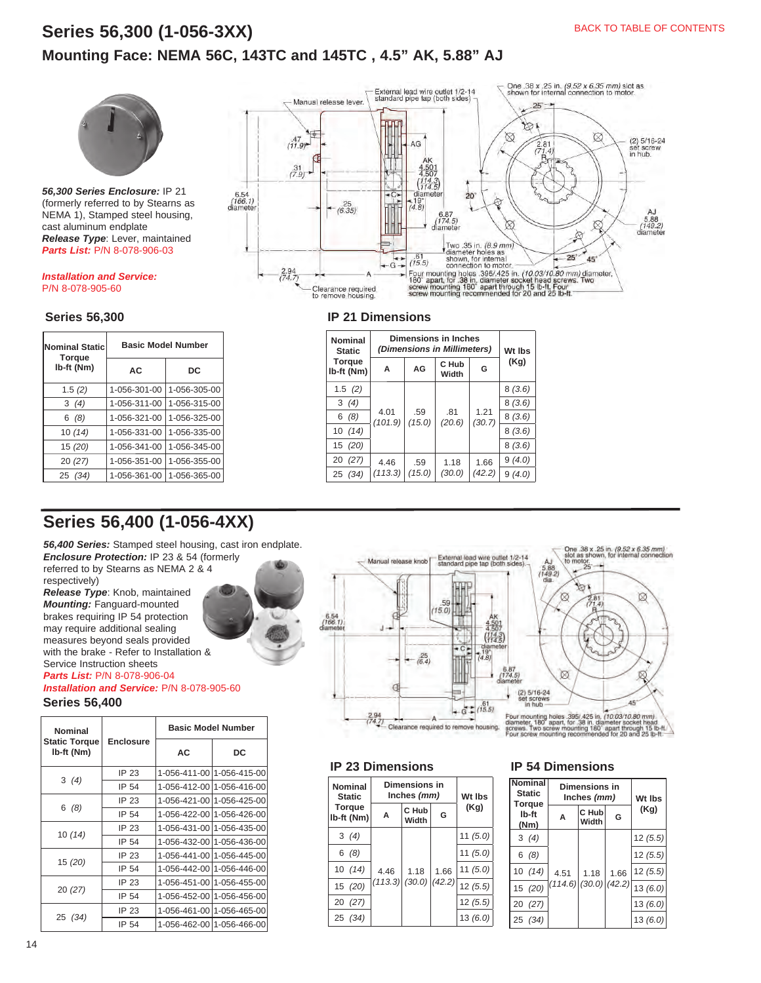# **Series 56,300 (1-056-3XX) Mounting Face: NEMA 56C, 143TC and 145TC , 4.5" AK, 5.88" AJ**



*56,300 Series Enclosure:* IP 21 (formerly referred to by Stearns as NEMA 1), Stamped steel housing, cast aluminum endplate *Release Type*: Lever, maintained *Parts List:* P/N 8-078-906-03

#### *[Installation and Service:](https://www.stearnsbrakes.com/resources/resource-library)* P/N 8-078-905-60

### **Series 56,300**

| <b>Nominal Static</b><br><b>Torque</b> | <b>Basic Model Number</b> |              |  |  |
|----------------------------------------|---------------------------|--------------|--|--|
| Ib-ft (Nm)                             | AC                        | DC           |  |  |
| 1.5(2)                                 | 1-056-301-00              | 1-056-305-00 |  |  |
| 3(4)                                   | 1-056-311-00              | 1-056-315-00 |  |  |
| 6(8)                                   | 1-056-321-00              | 1-056-325-00 |  |  |
| 10(14)                                 | 1-056-331-00              | 1-056-335-00 |  |  |
| 15 (20)                                | 1-056-341-00              | 1-056-345-00 |  |  |
| 20(27)                                 | 1-056-351-00              | 1-056-355-00 |  |  |
| 25 (34)                                | 1-056-361-00              | 1-056-365-00 |  |  |

# **Series 56,400 (1-056-4XX)**

*56,400 Series:* Stamped steel housing, cast iron endplate. *Enclosure Protection:* IP 23 & 54 (formerly

referred to by Stearns as NEMA 2 & 4 respectively)

*Release Type*: Knob, maintained *Mounting:* Fanguard-mounted brakes requiring IP 54 protection may require additional sealing measures beyond seals provided with the brake - Refer to Installation & Service Instruction sheets

*Parts List:* P/N 8-078-906-04 *[Installation and Service:](https://www.stearnsbrakes.com/resources/resource-library)* P/N 8-078-905-60

**Series 56,400**

| Nominal                            |                  | <b>Basic Model Number</b> |              |
|------------------------------------|------------------|---------------------------|--------------|
| <b>Static Torque</b><br>lb-ft (Nm) | <b>Enclosure</b> | AC                        | DC           |
|                                    | IP 23            | 1-056-411-00              | 1-056-415-00 |
| 3(4)                               | IP 54            | 1-056-412-00              | 1-056-416-00 |
|                                    | IP 23            | 1-056-421-00              | 1-056-425-00 |
| 6 (8)                              | IP 54            | 1-056-422-00              | 1-056-426-00 |
|                                    | IP 23            | 1-056-431-00              | 1-056-435-00 |
| 10 (14)                            | IP 54            | 1-056-432-00              | 1-056-436-00 |
|                                    | IP 23            | 1-056-441-00              | 1-056-445-00 |
| 15 (20)                            | IP 54            | 1-056-442-00              | 1-056-446-00 |
| 20(27)                             | IP 23            | 1-056-451-00              | 1-056-455-00 |
|                                    | IP 54            | 1-056-452-00              | 1-056-456-00 |
|                                    | IP 23            | 1-056-461-00              | 1-056-465-00 |
| 25 (34)                            | IP 54            | 1-056-462-00              | 1-056-466-00 |



#### **IP 21 Dimensions**

| Nominal<br><b>Static</b>    |                 | <b>Dimensions in Inches</b><br>(Dimensions in Millimeters) |                |                          |        |  |
|-----------------------------|-----------------|------------------------------------------------------------|----------------|--------------------------|--------|--|
| <b>Torque</b><br>Ib-ft (Nm) | A               | AG                                                         | C Hub<br>Width | G                        | (Kg)   |  |
| 1.5(2)                      |                 |                                                            |                |                          | 8(3.6) |  |
| 3(4)                        | 4.01<br>(101.9) |                                                            | .81            | 1.21<br>(30.7)<br>(20.6) | 8(3.6) |  |
| 6(8)                        |                 | .59<br>(15.0)                                              |                |                          | 8(3.6) |  |
| 10(14)                      |                 |                                                            |                |                          | 8(3.6) |  |
| 15 (20)                     |                 |                                                            |                |                          | 8(3.6) |  |
| 20 (27)                     | 4.46            | .59                                                        | 1.18           | 1.66                     | 9(4.0) |  |
| 25 (34)                     | (113.3)         | (15.0)                                                     | (30.0)         | (42.2)                   | 9(4.0) |  |



### **IP 23 Dimensions**

| <b>Nominal</b><br><b>Static</b> | Dimensions in<br>Inches (mm) |                |        | Wt Ibs     |
|---------------------------------|------------------------------|----------------|--------|------------|
| <b>Torque</b><br>lb-ft (Nm)     | A                            | C Hub<br>Width | G      | (Kg)       |
| 3(4)                            |                              |                |        | 11 $(5.0)$ |
| 6(8)                            | 4.46                         |                |        | 11 $(5.0)$ |
| 10(14)                          |                              | 1.18           | 1.66   | 11(5.0)    |
| 15 (20)                         | $(113.3)$ $(30.0)$           |                | (42.2) | 12(5.5)    |
| 20 (27)                         |                              |                |        | 12(5.5)    |
| 25 (34)                         |                              |                |        | 13(6.0)    |

#### **IP 54 Dimensions**

| <b>Jomina</b><br><b>Static</b><br>Torque |  | Dimensions in<br>Inches (mm) |                                         |         | Wt Ibs<br>(Kg) |  |
|------------------------------------------|--|------------------------------|-----------------------------------------|---------|----------------|--|
| lb-ft<br>(Nm)                            |  | A                            | C Hub<br>G<br>Width                     |         |                |  |
| 3(4)                                     |  |                              |                                         |         | 12(5.5)        |  |
| 6(8)                                     |  | 4.51                         | 1.66<br>1.18<br>$(114.6)$ (30.0) (42.2) |         | 12(5.5)        |  |
| 10(14)                                   |  |                              |                                         | 12(5.5) |                |  |
| 15 (20)                                  |  |                              |                                         |         | 13(6.0)        |  |
| 20 (27)                                  |  |                              |                                         |         | 13(6.0)        |  |
| 25 (34)                                  |  |                              |                                         |         | 13(6.0)        |  |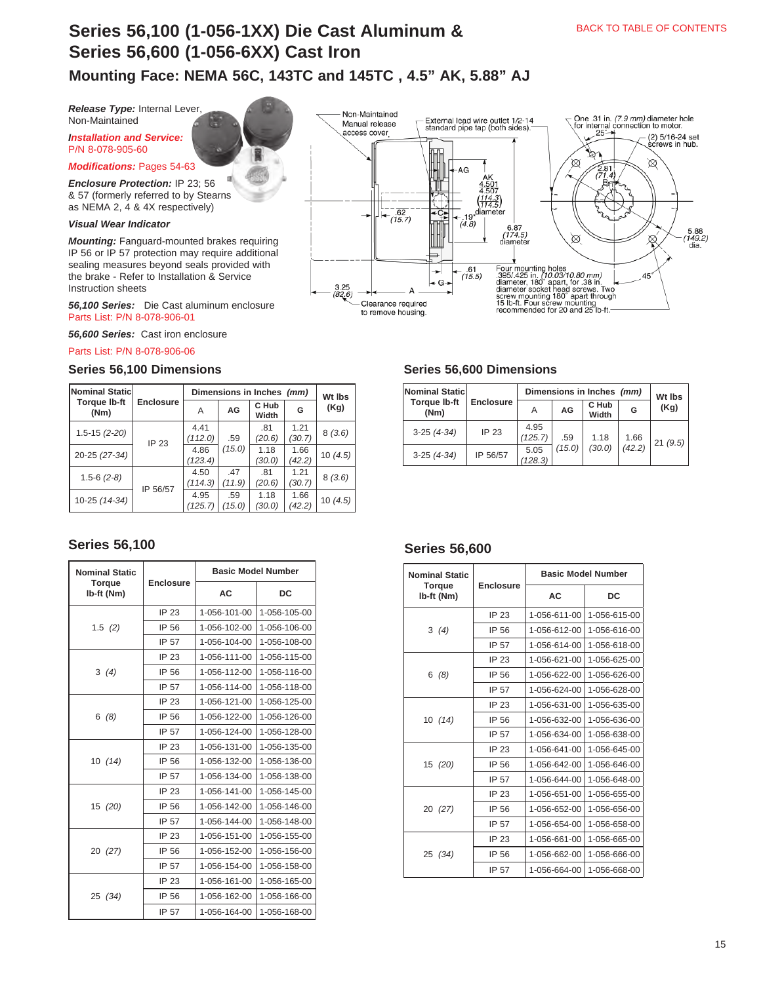# **Series 56,100 (1-056-1XX) Die Cast Aluminum & Series 56,600 (1-056-6XX) Cast Iron**

**Mounting Face: NEMA 56C, 143TC and 145TC , 4.5" AK, 5.88" AJ**

*Release Type:* Internal Lever, Non-Maintained

*[Installation and Service:](https://www.stearnsbrakes.com/resources/resource-library)*  P/N 8-078-905-60

*Modifications:* Pages 54-63

*Enclosure Protection:* IP 23; 56 & 57 (formerly referred to by Stearns as NEMA 2, 4 & 4X respectively)

#### *Visual Wear Indicator*

*Mounting:* Fanguard-mounted brakes requiring IP 56 or IP 57 protection may require additional sealing measures beyond seals provided with the brake - Refer to Installation & Service Instruction sheets

*56,100 Series:* Die Cast aluminum enclosure Parts List: P/N 8-078-906-01

*56,600 Series:* Cast iron enclosure

[Parts List: P/N 8-078-906-06](https://www.stearnsbrakes.com/resources/resource-library) 

#### **Series 56,100 Dimensions Series 56,600 Dimensions**

| Nominal Static              |                  |                 | Dimensions in Inches (mm) |                |                |                |
|-----------------------------|------------------|-----------------|---------------------------|----------------|----------------|----------------|
| <b>Torque Ib-ft</b><br>(Nm) | <b>Enclosure</b> | Α               | AG                        | C Hub<br>Width | G              | Wt Ibs<br>(Kg) |
| $1.5 - 15(2 - 20)$          | IP 23            | 4.41<br>(112.0) | .59                       | .81<br>(20.6)  | 1.21<br>(30.7) | 8(3.6)         |
| 20-25 (27-34)               |                  | 4.86<br>(123.4) | (15.0)                    | 1.18<br>(30.0) | 1.66<br>(42.2) | 10 $(4.5)$     |
| $1.5 - 6$ $(2 - 8)$         | IP 56/57         | 4.50<br>(114.3) | .47<br>(11.9)             | .81<br>(20.6)  | 1.21<br>(30.7) | 8(3.6)         |
| 10-25 (14-34)               |                  | 4.95<br>(125.7) | .59<br>(15.0)             | 1.18<br>(30.0) | 1.66<br>(42.2) | 10(4.5)        |

## **Series 56,100 Series 56,600**

| <b>Nominal Static</b>       |                  | <b>Basic Model Number</b> |              |  |
|-----------------------------|------------------|---------------------------|--------------|--|
| <b>Torque</b><br>Ib-ft (Nm) | <b>Enclosure</b> | AC                        | DC           |  |
|                             | IP 23            | 1-056-101-00              | 1-056-105-00 |  |
| 1.5(2)                      | IP 56            | 1-056-102-00              | 1-056-106-00 |  |
|                             | IP 57            | 1-056-104-00              | 1-056-108-00 |  |
|                             | IP 23            | 1-056-111-00              | 1-056-115-00 |  |
| 3(4)                        | IP 56            | 1-056-112-00              | 1-056-116-00 |  |
|                             | IP 57            | 1-056-114-00              | 1-056-118-00 |  |
|                             | <b>IP 23</b>     | 1-056-121-00              | 1-056-125-00 |  |
| (8)<br>6                    | IP 56            | 1-056-122-00              | 1-056-126-00 |  |
|                             | IP 57            | 1-056-124-00              | 1-056-128-00 |  |
|                             | IP 23            | 1-056-131-00              | 1-056-135-00 |  |
| 10(14)                      | IP 56            | 1-056-132-00              | 1-056-136-00 |  |
|                             | IP 57            | 1-056-134-00              | 1-056-138-00 |  |
|                             | IP 23            | 1-056-141-00              | 1-056-145-00 |  |
| 15 (20)                     | IP 56            | 1-056-142-00              | 1-056-146-00 |  |
|                             | IP 57            | 1-056-144-00              | 1-056-148-00 |  |
|                             | IP 23            | 1-056-151-00              | 1-056-155-00 |  |
| 20 (27)                     | IP 56            | 1-056-152-00              | 1-056-156-00 |  |
|                             | IP 57            | 1-056-154-00              | 1-056-158-00 |  |
|                             | IP 23            | 1-056-161-00              | 1-056-165-00 |  |
| 25 (34)                     | IP 56            | 1-056-162-00              | 1-056-166-00 |  |
|                             | IP 57            | 1-056-164-00              | 1-056-168-00 |  |



| Nominal Static              | Dimensions in Inches (mm) |                 |        |                |        | Wt Ibs  |
|-----------------------------|---------------------------|-----------------|--------|----------------|--------|---------|
| <b>Torque Ib-ft</b><br>(Nm) | <b>Enclosure</b>          | Α               | AG     | C Hub<br>Width | G      | (Kg)    |
| $3-25(4-34)$                | IP 23                     | 4.95<br>(125.7) | .59    | 1.18           | 1.66   | 21(9.5) |
| $3-25(4-34)$                | IP 56/57                  | 5.05<br>(128.3) | (15.0) | (30.0)         | (42.2) |         |

| <b>Nominal Static</b>       |                  |              | <b>Basic Model Number</b> |
|-----------------------------|------------------|--------------|---------------------------|
| <b>Torque</b><br>Ib-ft (Nm) | <b>Enclosure</b> | AC.          | DC                        |
|                             | IP 23            | 1-056-611-00 | 1-056-615-00              |
| 3(4)                        | IP 56            | 1-056-612-00 | 1-056-616-00              |
|                             | IP 57            | 1-056-614-00 | 1-056-618-00              |
|                             | IP 23            | 1-056-621-00 | 1-056-625-00              |
| 6(8)                        | IP 56            | 1-056-622-00 | 1-056-626-00              |
|                             | IP 57            | 1-056-624-00 | 1-056-628-00              |
|                             | IP 23            | 1-056-631-00 | 1-056-635-00              |
| 10(14)                      | IP 56            | 1-056-632-00 | 1-056-636-00              |
|                             | IP 57            | 1-056-634-00 | 1-056-638-00              |
|                             | IP 23            | 1-056-641-00 | 1-056-645-00              |
| 15 (20)                     | IP 56            | 1-056-642-00 | 1-056-646-00              |
|                             | IP 57            | 1-056-644-00 | 1-056-648-00              |
|                             | IP 23            | 1-056-651-00 | 1-056-655-00              |
| 20 (27)                     | IP 56            | 1-056-652-00 | 1-056-656-00              |
|                             | IP 57            | 1-056-654-00 | 1-056-658-00              |
|                             | IP 23            | 1-056-661-00 | 1-056-665-00              |
| 25 (34)                     | IP 56            | 1-056-662-00 | 1-056-666-00              |
|                             | IP 57            | 1-056-664-00 | 1-056-668-00              |